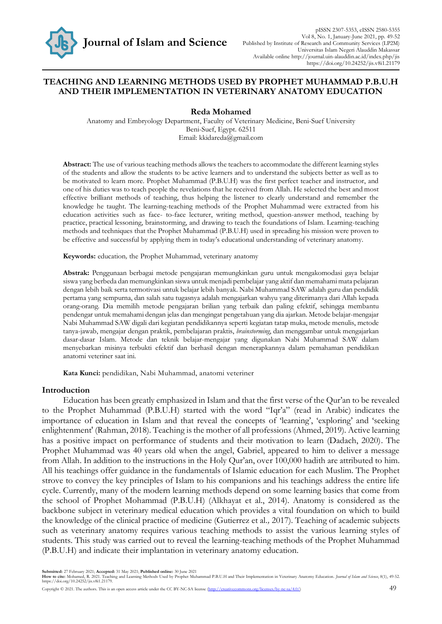

## **TEACHING AND LEARNING METHODS USED BY PROPHET MUHAMMAD P.B.U.H AND THEIR IMPLEMENTATION IN VETERINARY ANATOMY EDUCATION**

### **Reda Mohamed**

Anatomy and Embryology Department, Faculty of Veterinary Medicine, Beni-Suef University Beni-Suef, Egypt. 62511 Email: [kkidareda@gmail.com](mailto:kkidareda@gmail.com)

**Abstract:** The use of various teaching methods allows the teachers to accommodate the different learning styles of the students and allow the students to be active learners and to understand the subjects better as well as to be motivated to learn more. Prophet Muhammad (P.B.U.H) was the first perfect teacher and instructor, and one of his duties was to teach people the revelations that he received from Allah. He selected the best and most effective brilliant methods of teaching, thus helping the listener to clearly understand and remember the knowledge he taught. The learning-teaching methods of the Prophet Muhammad were extracted from his education activities such as face- to-face lecturer, writing method, question-answer method, teaching by practice, practical lessoning, brainstorming, and drawing to teach the foundations of Islam. Learning-teaching methods and techniques that the Prophet Muhammad (P.B.U.H) used in spreading his mission were proven to be effective and successful by applying them in today's educational understanding of veterinary anatomy.

**Keywords:** education*,* the Prophet Muhammad, veterinary anatomy

**Abstrak:** Penggunaan berbagai metode pengajaran memungkinkan guru untuk mengakomodasi gaya belajar siswa yang berbeda dan memungkinkan siswa untuk menjadi pembelajar yang aktif dan memahami mata pelajaran dengan lebih baik serta termotivasi untuk belajar lebih banyak. Nabi Muhammad SAW adalah guru dan pendidik pertama yang sempurna, dan salah satu tugasnya adalah mengajarkan wahyu yang diterimanya dari Allah kepada orang-orang. Dia memilih metode pengajaran brilian yang terbaik dan paling efektif, sehingga membantu pendengar untuk memahami dengan jelas dan mengingat pengetahuan yang dia ajarkan. Metode belajar-mengajar Nabi Muhammad SAW digali dari kegiatan pendidikannya seperti kegiatan tatap muka, metode menulis, metode tanya-jawab, mengajar dengan praktik, pembelajaran praktis, *brainstorming*, dan menggambar untuk mengajarkan dasar-dasar Islam. Metode dan teknik belajar-mengajar yang digunakan Nabi Muhammad SAW dalam menyebarkan misinya terbukti efektif dan berhasil dengan menerapkannya dalam pemahaman pendidikan anatomi veteriner saat ini.

**Kata Kunci:** pendidikan, Nabi Muhammad, anatomi veteriner

### **Introduction**

Education has been greatly emphasized in Islam and that the first verse of the Qur'an to be revealed to the Prophet Muhammad (P.B.U.H) started with the word "Iqr'a" (read in Arabic) indicates the importance of education in Islam and that reveal the concepts of 'learning', 'exploring' and 'seeking enlightenment' (Rahman, 2018). Teaching is the mother of all professions (Ahmed, 2019). Active learning has a positive impact on performance of students and their motivation to learn (Dadach, 2020). The Prophet Muhammad was 40 years old when the angel, Gabriel, appeared to him to deliver a message from Allah. In addition to the instructions in the Holy Qur'an, over 100,000 hadith are attributed to him. All his teachings offer guidance in the fundamentals of Islamic education for each Muslim. The Prophet strove to convey the key principles of Islam to his companions and his teachings address the entire life cycle. Currently, many of the modern learning methods depend on some learning basics that come from the school of Prophet Mohammad (P.B.U.H) (Alkhayat et al., 2014). Anatomy is considered as the backbone subject in veterinary medical education which provides a vital foundation on which to build the knowledge of the clinical practice of medicine (Gutierrez et al*.,* 2017). Teaching of academic subjects such as veterinary anatomy requires various teaching methods to assist the various learning styles of students. This study was carried out to reveal the learning-teaching methods of the Prophet Muhammad (P.B.U.H) and indicate their implantation in veterinary anatomy education.

Submitted: 27 February 2021; Accepted: 31 May 2021; Published online: 30 June 2021<br>How to cite: Mohamed, R. 2021. Teaching and Learning Methods Used by Prophet Muhammad P.B.U.H and Their Implementation in Veterinary Anatom https://doi.org/10.24252/jis.v8i1.21179.

Copyright © 2021. The authors. This is an open access article under the CC BY-NC-SA license [\(http://creativecommons.org/licenses/by-nc-sa/4.0/\)](http://creativecommons.org/licenses/by-nc-sa/4.0/) 49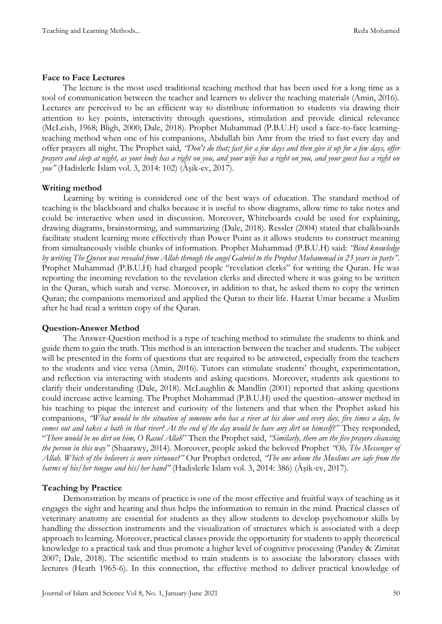## **Face to Face Lectures**

The lecture is the most used traditional teaching method that has been used for a long time as a tool of communication between the teacher and learners to deliver the teaching materials (Amin, 2016). Lectures are perceived to be an efficient way to distribute information to students via drawing their attention to key points, interactivity through questions, stimulation and provide clinical relevance (McLeish, 1968; Bligh, 2000; Dale, 2018). Prophet Muhammad (P.B.U.H) used a face-to-face learningteaching method when one of his companions, Abdullah bin Amr from the tried to fast every day and offer prayers all night. The Prophet said, *"Don't do that; fast for a few days and then give it up for a few days, offer prayers and sleep at night, as your body has a right on you, and your wife has a right on you, and your guest has a right on you"* (Hadislerle İslam vol. 3, 2014: 102) (Âşik-ev, 2017).

# **Writing method**

Learning by writing is considered one of the best ways of education. The standard method of teaching is the blackboard and chalks because it is useful to show diagrams, allow time to take notes and could be interactive when used in discussion. Moreover, Whiteboards could be used for explaining, drawing diagrams, brainstorming, and summarizing (Dale, 2018). Ressler (2004) stated that chalkboards facilitate student learning more effectively than Power Point as it allows students to construct meaning from simultaneously visible chunks of information. Prophet Muhammad (P.B.U.H) said: *"Bind knowledge by writing The Quran was revealed from Allah through the angel Gabriel to the Prophet Muhammad in 23 years in parts".*  Prophet Muhammad (P.B.U.H) had charged people "revelation clerks" for writing the Quran. He was reporting the incoming revelation to the revelation clerks and directed where it was going to be written in the Quran, which surah and verse. Moreover, in addition to that, he asked them to copy the written Quran; the companions memorized and applied the Quran to their life. Hazrat Umar became a Muslim after he had read a written copy of the Quran.

# **Question-Answer Method**

The Answer-Question method is a type of teaching method to stimulate the students to think and guide them to gain the truth. This method is an interaction between the teacher and students. The subject will be presented in the form of questions that are required to be answered, especially from the teachers to the students and vice versa (Amin, 2016). Tutors can stimulate students' thought, experimentation, and reflection via interacting with students and asking questions. Moreover, students ask questions to clarify their understanding (Dale, 2018). McLaughlin & Mandlin (2001) reported that asking questions could increase active learning. The Prophet Mohammad (P.B.U.H) used the question–answer method in his teaching to pique the interest and curiosity of the listeners and that when the Prophet asked his companions, *"What would be the situation of someone who has a river at his door and every day, five times a day, he comes out and takes a bath in that river? At the end of the day would he have any dirt on himself?"* They responded, "*There would be no dirt on him, O Rasul Allah*" Then the Prophet said, *"Similarly, there are the five prayers cleansing the person in this way"* (Shaarawy, 2014). Moreover, people asked the beloved Prophet *"Oh, The Messenger of Allah. Which of the believers is more virtuous?"* Our Prophet ordered, *"The one whom the Muslims are safe from the harms of his/her tongue and his/her hand"* (Hadislerle Islam vol. 3, 2014: 386) (Âşik-ev, 2017).

# **Teaching by Practice**

Demonstration by means of practice is one of the most effective and fruitful ways of teaching as it engages the sight and hearing and thus helps the information to remain in the mind. Practical classes of veterinary anatomy are essential for students as they allow students to develop psychomotor skills by handling the dissection instruments and the visualization of structures which is associated with a deep approach to learning. Moreover, practical classes provide the opportunity for students to apply theoretical knowledge to a practical task and thus promote a higher level of cognitive processing (Pandey & Zimitat 2007; Dale, 2018). The scientific method to train students is to associate the laboratory classes with lectures (Heath 1965-6). In this connection, the effective method to deliver practical knowledge of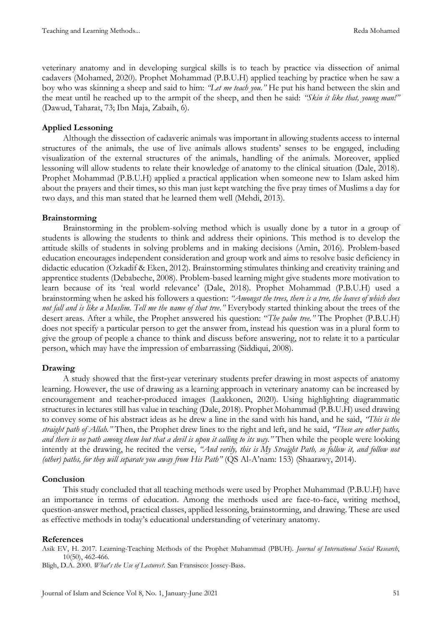veterinary anatomy and in developing surgical skills is to teach by practice via dissection of animal cadavers (Mohamed, 2020). Prophet Mohammad (P.B.U.H) applied teaching by practice when he saw a boy who was skinning a sheep and said to him: *"Let me teach you."* He put his hand between the skin and the meat until he reached up to the armpit of the sheep, and then he said: *"Skin it like that, young man!"*  (Dawud, Taharat, 73; Ibn Maja, Zabaih, 6).

## **Applied Lessoning**

Although the dissection of cadaveric animals was important in allowing students access to internal structures of the animals, the use of live animals allows students' senses to be engaged, including visualization of the external structures of the animals, handling of the animals. Moreover, applied lessoning will allow students to relate their knowledge of anatomy to the clinical situation (Dale, 2018). Prophet Mohammad (P.B.U.H) applied a practical application when someone new to Islam asked him about the prayers and their times, so this man just kept watching the five pray times of Muslims a day for two days, and this man stated that he learned them well (Mehdi, 2013).

### **Brainstorming**

Brainstorming in the problem-solving method which is usually done by a tutor in a group of students is allowing the students to think and address their opinions. This method is to develop the attitude skills of students in solving problems and in making decisions (Amin, 2016). Problem-based education encourages independent consideration and group work and aims to resolve basic deficiency in didactic education (Ozkadif & Eken, 2012). Brainstorming stimulates thinking and creativity training and apprentice students (Debabeche, 2008). Problem-based learning might give students more motivation to learn because of its 'real world relevance' (Dale, 2018). Prophet Mohammad (P.B.U.H) used a brainstorming when he asked his followers a question: *"Amongst the trees, there is a tree, the leaves of which does not fall and is like a Muslim. Tell me the name of that tree."* Everybody started thinking about the trees of the desert areas. After a while, the Prophet answered his question: "*The palm tree."* The Prophet (P.B.U.H) does not specify a particular person to get the answer from, instead his question was in a plural form to give the group of people a chance to think and discuss before answering, not to relate it to a particular person, which may have the impression of embarrassing (Siddiqui, 2008).

### **Drawing**

A study showed that the first‐year veterinary students prefer drawing in most aspects of anatomy learning. However, the use of drawing as a learning approach in veterinary anatomy can be increased by encouragement and teacher‐produced images (Laakkonen, 2020). Using highlighting diagrammatic structures in lectures still has value in teaching (Dale, 2018). Prophet Mohammad (P.B.U.H) used drawing to convey some of his abstract ideas as he drew a line in the sand with his hand, and he said, *"This is the straight path of Allah."* Then, the Prophet drew lines to the right and left, and he said, *"These are other paths, and there is no path among them but that a devil is upon it calling to its way."* Then while the people were looking intently at the drawing, he recited the verse, *"And verily, this is My Straight Path, so follow it, and follow not (other) paths, for they will separate you away from His Path"* (QS Al-A'nam: 153) (Shaarawy, 2014).

### **Conclusion**

This study concluded that all teaching methods were used by Prophet Muhammad (P.B.U.H) have an importance in terms of education. Among the methods used are face-to-face, writing method, question-answer method, practical classes, applied lessoning, brainstorming, and drawing. These are used as effective methods in today's educational understanding of veterinary anatomy.

### **References**

Asik EV, H. 2017. Learning-Teaching Methods of the Prophet Muhammad (PBUH). *Journal of International Social Research*, 10(50), 462-466.

Bligh, D.A. 2000. *What's the Use of Lectures?.* San Fransisco: Jossey-Bass.